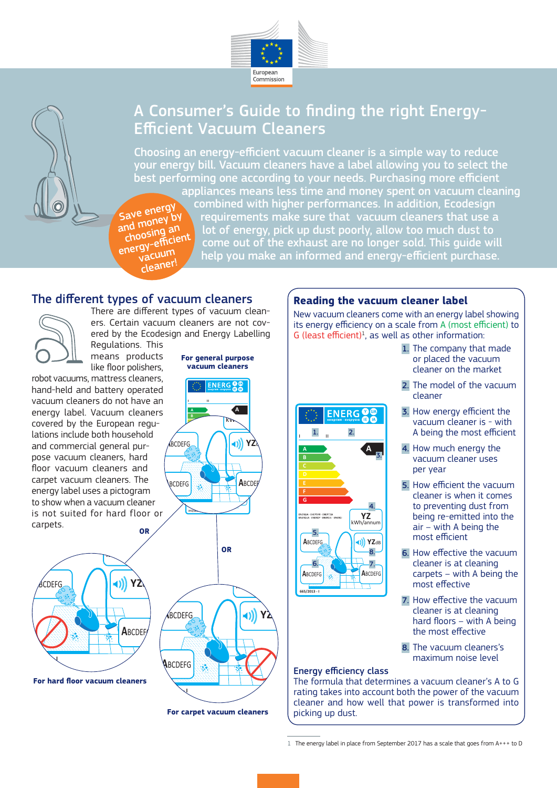

# A Consumer's Guide to finding the right Energy-Efficient Vacuum Cleaners

Choosing an energy-efficient vacuum cleaner is a simple way to reduce your energy bill. Vacuum cleaners have a label allowing you to select the best performing one according to your needs. Purchasing more efficient appliances means less time and money spent on vacuum cleaning

Save energy and money by choosing an energy-efficien cleaner!

combined with higher performances. In addition, Ecodesign requirements make sure that vacuum cleaners that use a lot of energy, pick up dust poorly, allow too much dust to come out of the exhaust are no longer sold. This guide will help you make an informed and energy-efficient purchase.

## The different types of vacuum cleaners

There are different types of vacuum cleaners. Certain vacuum cleaners are not covers. Certain vacuum cleaners are not cov-<br>ered by the Ecodesign and Energy Labelling Regulations. This **B**

means products like floor polishers,

robot vacuums, mattress cleaners, hand-held and battery operated vacuum cleaners do not have an energy label. Vacuum cleaners covered by the European regulations include both household and commercial general pur-**A A** pose vacuum cleaners, hard **B** floor vacuum cleaners and **C** carpet vacuum cleaners. The **D** energy label uses a pictogram **E** to show when a vacuum cleaner is not suited for hard floor or carpets. **G OR**



**For hard floor vacuum cleaners**



**For general purpose vacuum cleaners**

**ENERG<sup>O</sup>** 

## **Reading the vacuum cleaner label**

New vacuum cleaners come with an energy label showing its energy efficiency on a scale from A (most efficient) to  $G$  (least efficient)<sup>1</sup>, as well as other information:



- 1. The company that made or placed the vacuum cleaner on the market
- 2. The model of the vacuum cleaner
- 3. How energy efficient the vacuum cleaner is - with A being the most efficient
- 4. How much energy the vacuum cleaner uses per year
- 5. How efficient the vacuum cleaner is when it comes to preventing dust from being re-emitted into the air – with A being the most efficient
- 6. How effective the vacuum cleaner is at cleaning carpets – with A being the most effective
- 7. How effective the vacuum cleaner is at cleaning hard floors – with A being the most effective

8. The vacuum cleaners's maximum noise level

### Energy efficiency class

The formula that determines a vacuum cleaner's A to G rating takes into account both the power of the vacuum cleaner and how well that power is transformed into picking up dust.

1 The energy label in place from September 2017 has a scale that goes from A+++ to D